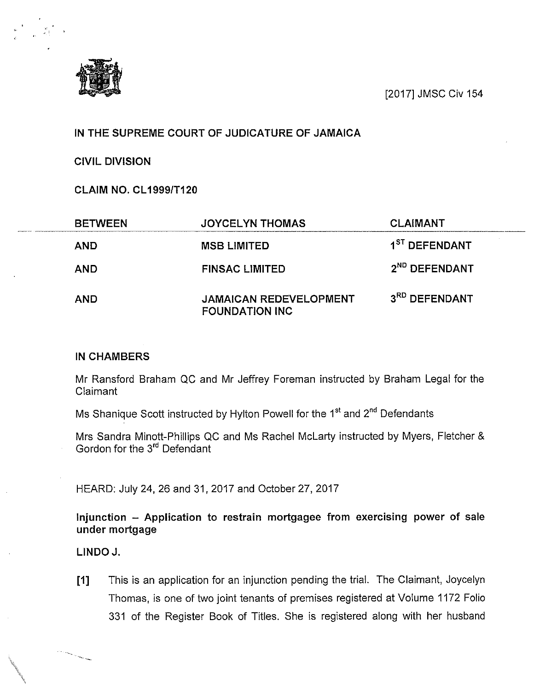[2017] JMSC Civ 154

## IN THE SUPREME COURT OF JUDICATURE OF JAMAICA

CIVIL DIVISION

CLAIM NO. CL19991T120

| <b>BETWEEN</b> | <b>JOYCELYN THOMAS</b>                                  | <b>CLAIMANT</b>           |  |
|----------------|---------------------------------------------------------|---------------------------|--|
| <b>AND</b>     | <b>MSB LIMITED</b>                                      | 1 <sup>ST</sup> DEFENDANT |  |
| <b>AND</b>     | <b>FINSAC LIMITED</b>                                   | 2 <sup>ND</sup> DEFENDANT |  |
| <b>AND</b>     | <b>JAMAICAN REDEVELOPMENT</b><br><b>FOUNDATION INC.</b> | 3RD DEFENDANT             |  |

## IN CHAMBERS

Mr Ransford Braham QC and Mr Jeffrey Foreman instructed by Braham Legal for the Claimant

Ms Shanique Scott instructed by Hylton Powell for the 1<sup>st</sup> and 2<sup>nd</sup> Defendants

Mrs Sandra Minott-Phillips QC and Ms Rachel McLarty instructed by Myers, Fletcher & Gordon for the 3<sup>rd</sup> Defendant

HEARD: July 24, 26 and 31, 2017 and October 27, 2017

Injunction — Application to restrain mortgagee from exercising power of sale under mortgage

LINDO J.

[1] This is an application for an injunction pending the trial. The Claimant, Joycelyn Thomas, is one of two joint tenants of premises registered at Volume 1172 Folio 331 of the Register Book of Titles. She is registered along with her husband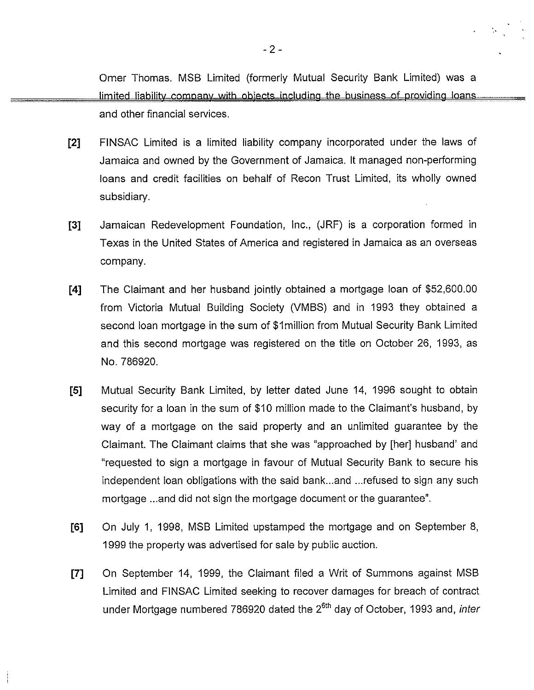Omer Thomas. MSB Limited (formerly Mutual Security Bank Limited) was a limited liability company with objects including the business of providing loans. and other financial services.

- [2] FINSAC Limited is a limited liability company incorporated under the laws of Jamaica and owned by the Government of Jamaica. It managed non-performing loans and credit facilities on behalf of Recon Trust Limited, its wholly owned subsidiary.
- [3] Jamaican Redevelopment Foundation, Inc., (JRF) is a corporation formed in Texas in the United States of America and registered in Jamaica as an overseas company.
- [4] The Claimant and her husband jointly obtained a mortgage loan of \$52,600.00 from Victoria Mutual Building Society (VMBS) and in 1993 they obtained a second loan mortgage in the sum of \$lmillion from Mutual Security Bank Limited and this second mortgage was registered on the title on October 26, 1993, as No. 786920.
- [5] Mutual Security Bank Limited, by letter dated June 14, 1996 sought to obtain security for a loan in the sum of \$10 million made to the Claimant's husband, by way of a mortgage on the said property and an unlimited guarantee by the Claimant. The Claimant claims that she was "approached by [her] husband' and "requested to sign a mortgage in favour of Mutual Security Bank to secure his independent loan obligations with the said bank.. and . . refused to sign any such mortgage ...and did not sign the mortgage document or the guarantee".
- [6] On July 1, 1998, MSB Limited upstamped the mortgage and on September 8, 1999 the property was advertised for sale by public auction.
- [7] On September 14, 1999, the Claimant filed a Writ of Summons against MSB Limited and FINSAC Limited seeking to recover damages for breach of contract under Mortgage numbered 786920 dated the  $2^{6th}$  day of October, 1993 and, *inter*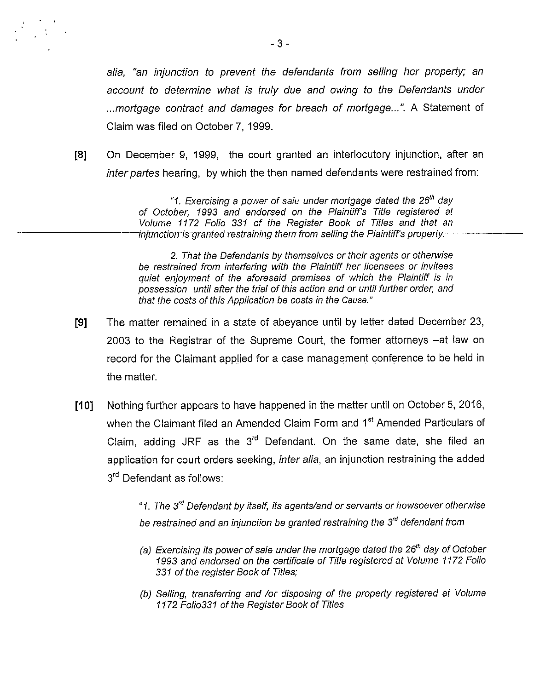alia, "an injunction to prevent the defendants from selling her property; an account to determine what is truly due and owing to the Defendants under ...mortgage contract and damages for breach of mortgage...". A Statement of Claim was filed on October 7, 1999.

[8] On December 9, 1999, the court granted an interlocutory injunction, after an inter partes hearing, by which the then named defendants were restrained from:

> "1. Exercising a power of saie under mortgage dated the  $26<sup>th</sup>$  day of October, 1993 and endorsed on the Plaintiff's Title registered at Volume 1172 Folio 331 of the Register Book of Titles and that an injunction is granted restraining them-from-selling-the-Plaintiff's-property.

> 2. That the Defendants by themselves or their agents or otherwise be restrained from interfering with the Plaintiff her licensees or invitees quiet enjoyment of the aforesaid premises of which the Plaintiff is in possession until after the trial of this action and or until further order, and that the costs of this Application be costs in the Cause."

- [9] The matter remained in a state of abeyance until by letter dated December 23, 2003 to the Registrar of the Supreme Court, the former attorneys —at law on record for the Claimant applied for a case management conference to be held in the matter.
- [10] Nothing further appears to have happened in the matter until on October 5, 2016, when the Claimant filed an Amended Claim Form and 1<sup>st</sup> Amended Particulars of Claim, adding JRF as the  $3<sup>rd</sup>$  Defendant. On the same date, she filed an application for court orders seeking, inter alia, an injunction restraining the added 3<sup>rd</sup> Defendant as follows:

"1. The 3<sup>rd</sup> Defendant by itself, its agents/and or servants or howsoever otherwise be restrained and an injunction be granted restraining the 3<sup>rd</sup> defendant from

- (a) Exercising its power of sale under the mortgage dated the  $26<sup>th</sup>$  day of October 1993 and endorsed on the certificate of Title registered at Volume 1172 Folio 331 of the register Book of Titles;
- (b) Selling, transferring and /or disposing of the property registered at Volume 1172 Folio331 of the Register Book of Titles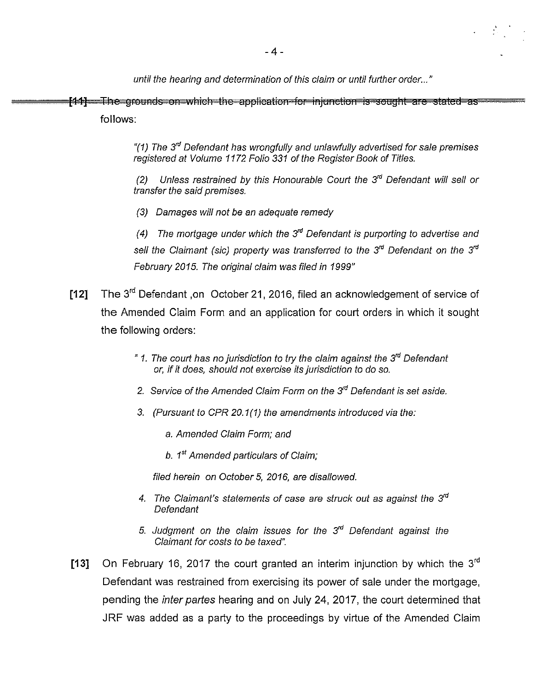until the hearing and determination of this claim or until further order..."

....~~ob1r1thrru1rW[IIC1irtflUrUppllUuUy[itt1OrtfljUflUUU[F13ttSOuyiIt\_~oI o~at~~cao follows:

> "(1) The  $3<sup>rd</sup>$  Defendant has wrongfully and unlawfully advertised for sale premises registered at Volume 1172 Folio 331 of the Register Book of Titles.

> (2) Unless restrained by this Honourable Court the  $3<sup>rd</sup>$  Defendant will sell or transfer the said premises.

(3) Damages will not be an adequate remedy

(4) The mortgage under which the  $3<sup>rd</sup>$  Defendant is purporting to advertise and sell the Claimant (sic) property was transferred to the  $3<sup>rd</sup>$  Defendant on the  $3<sup>rd</sup>$ February 2015. The original claim was filed in 1999"

- [12] The 3<sup>rd</sup> Defendant ,on October 21, 2016, filed an acknowledgement of service of the Amended Claim Form and an application for court orders in which it sought the following orders:
	- "1. The court has no jurisdiction to try the claim against the  $3<sup>rd</sup>$  Defendant or, if it does, should not exercise its jurisdiction to do so.
	- 2. Service of the Amended Claim Form on the 3<sup>rd</sup> Defendant is set aside.
	- 3. (Pursuant to CPR 20.1(1) the amendments introduced via the:
		- a. Amended Claim Form; and
		- b.  $1<sup>st</sup>$  Amended particulars of Claim;

filed herein on October 5, 2016, are disallowed.

- 4. The Claimant's statements of case are struck out as against the  $3^{rd}$ Defendant
- 5. Judgment on the claim issues for the  $3<sup>rd</sup>$  Defendant against the Claimant for costs to be taxed".
- [13] On February 16, 2017 the court granted an interim injunction by which the  $3<sup>rd</sup>$ Defendant was restrained from exercising its power of sale under the mortgage, pending the inter partes hearing and on July 24, 2017, the court determined that JRF was added as a party to the proceedings by virtue of the Amended Claim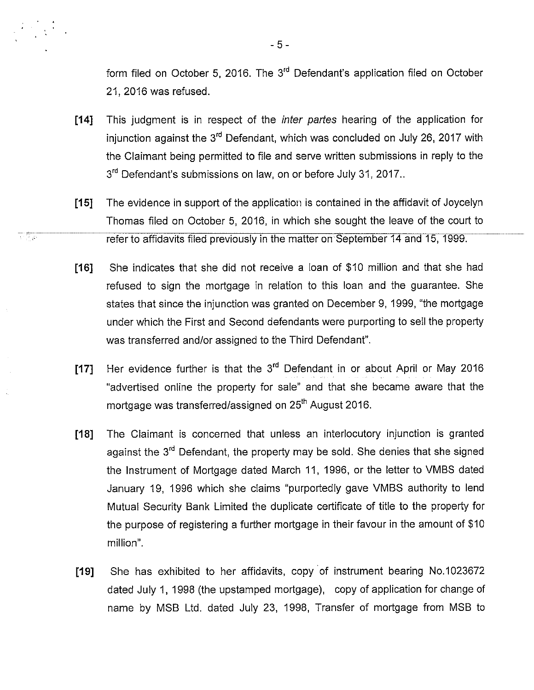form filed on October 5, 2016. The  $3<sup>rd</sup>$  Defendant's application filed on October 21, 2016 was refused.

- [14] This judgment is in respect of the *inter partes* hearing of the application for injunction against the  $3<sup>rd</sup>$  Defendant, which was concluded on July 26, 2017 with the Claimant being permitted to file and serve written submissions in reply to the 3<sup>rd</sup> Defendant's submissions on law, on or before July 31, 2017..
- [15] The evidence in support of the application is contained in the affidavit of Joycelyn Thomas filed on October 5, 2016, in which she sought the leave of the court to refer to affidavits filed previously in the matter on September 14 and 15, 1999.

77

- [16] She indicates that she did not receive a loan of \$10 million and that she had refused to sign the mortgage in relation to this loan and the guarantee. She states that since the injunction was granted on December 9, 1999, "the mortgage under which the First and Second defendants were purporting to sell the property was transferred and/or assigned to the Third Defendant".
- [17] Her evidence further is that the 3<sup>rd</sup> Defendant in or about April or May 2016 "advertised online the property for sale" and that she became aware that the mortgage was transferred/assigned on 25<sup>th</sup> August 2016.
- [18] The Claimant is concerned that unless an interlocutory injunction is granted against the 3<sup>rd</sup> Defendant, the property may be sold. She denies that she signed the Instrument of Mortgage dated March 11, 1996, or the letter to VMBS dated January 19, 1996 which she claims "purportedly gave VMBS authority to lend Mutual Security Bank Limited the duplicate certificate of title to the property for the purpose of registering a further mortgage in their favour in the amount of \$10 million".
- [19] She has exhibited to her affidavits, copy of instrument bearing No.1023672 dated July 1, 1998 (the upstamped mortgage), copy of application for change of name by MSB Ltd. dated July 23, 1998, Transfer of mortgage from MSB to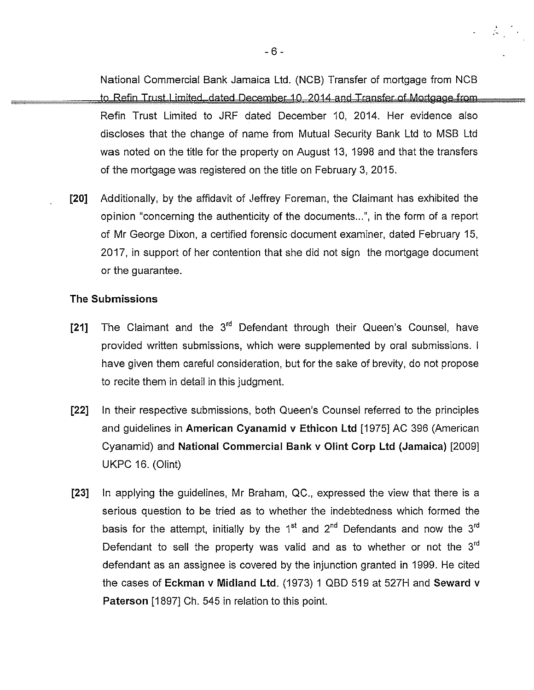National Commercial Bank Jamaica Ltd. (NCB) Transfer of mortgage from NCB to Refin Trust Limited, dated December 10, 2014 and Transfer of Mortgage from Refin Trust Limited to JRF dated December 10, 2014. Her evidence also discloses that the change of name from Mutual Security Bank Ltd to MSB Ltd was noted on the title for the property on August 13, 1998 and that the transfers of the mortgage was registered on the title on February 3, 2015.

 $\mathcal{L} \subset \mathcal{L}$ 

[20] Additionally, by the affidavit of Jeffrey Foreman, the Claimant has exhibited the opinion "concerning the authenticity of the documents...", in the form of a report of Mr George Dixon, a certified forensic document examiner, dated February 15, 2017, in support of her contention that she did not sign the mortgage document or the guarantee.

## The Submissions

- [21] The Claimant and the  $3<sup>rd</sup>$  Defendant through their Queen's Counsel, have provided written submissions, which were supplemented by oral submissions. <sup>I</sup> have given them careful consideration, but for the sake of brevity, do not propose to recite them in detail in this judgment.
- [22) In their respective submissions, both Queen's Counsel referred to the principles and guidelines in American Cyanamid v Ethicon Ltd [1975] AC 396 (American Cyanamid) and National Commercial Bank v Olint Corp Ltd (Jamaica) [2009] UKPC 16. (Clint)
- [23] In applying the guidelines, Mr Braham, QC., expressed the view that there is a serious question to be tried as to whether the indebtedness which formed the basis for the attempt, initially by the 1<sup>st</sup> and  $2<sup>nd</sup>$  Defendants and now the 3<sup>rd</sup> Defendant to sell the property was valid and as to whether or not the  $3<sup>rd</sup>$ defendant as an assignee is covered by the injunction granted in 1999. He cited the cases of Eckman v Midland Ltd. (1973) <sup>1</sup> QBD 519 at 527H and Seward v Paterson [1897] Ch. 545 in relation to this point.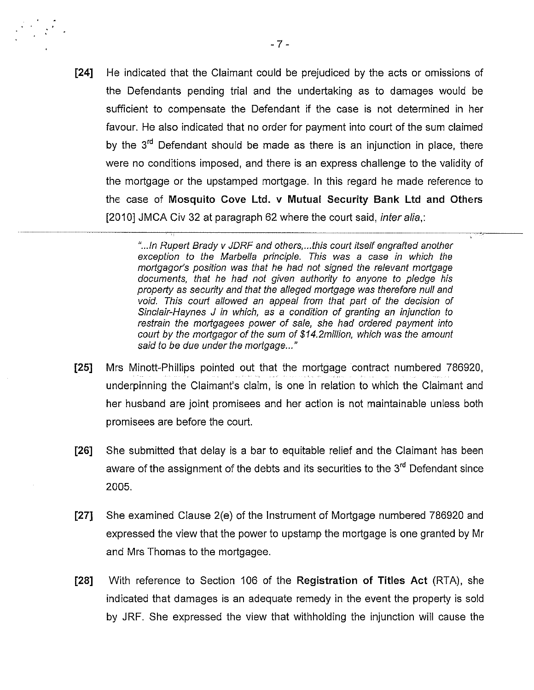[24] He indicated that the Claimant could be prejudiced by the acts or omissions of the Defendants pending trial and the undertaking as to damages would be sufficient to compensate the Defendant if the case is not determined in her favour. He also indicated that no order for payment into court of the sum claimed by the  $3<sup>rd</sup>$  Defendant should be made as there is an injunction in place, there were no conditions imposed, and there is an express challenge to the validity of the mortgage or the upstamped mortgage. In this regard he made reference to the case of Mosquito Cove Ltd. v Mutual Security Bank Ltd and Others [2010] JMCA Civ 32 at paragraph 62 where the court said, *inter alia*,:

> "... In Rupert Brady v JDRF and others,...this court itself engrafted another exception to the Marbella principle. This was a case in which the mortgagor's position was that he had not signed the relevant mortgage documents, that he had not given authority to anyone to pledge his property as security and that the alleged mortgage was therefore null and void. This court allowed an appeal from that part of the decision of Sinclair-Haynes J in which, as a condition of granting an injunction to restrain the mortgagees power of sale, she had ordered payment into court by the mortgagor of the sum of \$14.2million, which was the amount said to be due under the mortgage..."

- [25] Mrs Minott-Phillips pointed out that the mortgage contract numbered 786920, underpinning the Claimant's claim, is one in relation to which the Claimant and her husband are joint promisees and her action is not maintainable unless both promisees are before the court.
- [26] She submitted that delay is a bar to equitable relief and the Claimant has been aware of the assignment of the debts and its securities to the  $3<sup>rd</sup>$  Defendant since 2005.
- [27] She examined Clause 2(e) of the Instrument of Mortgage numbered 786920 and expressed the view that the power to upstamp the mortgage is one granted by Mr and Mrs Thomas to the mortgagee.
- [28] With reference to Section 106 of the Registration of Titles Act (RTA), she indicated that damages is an adequate remedy in the event the property is sold by JRF. She expressed the view that withholding the injunction will cause the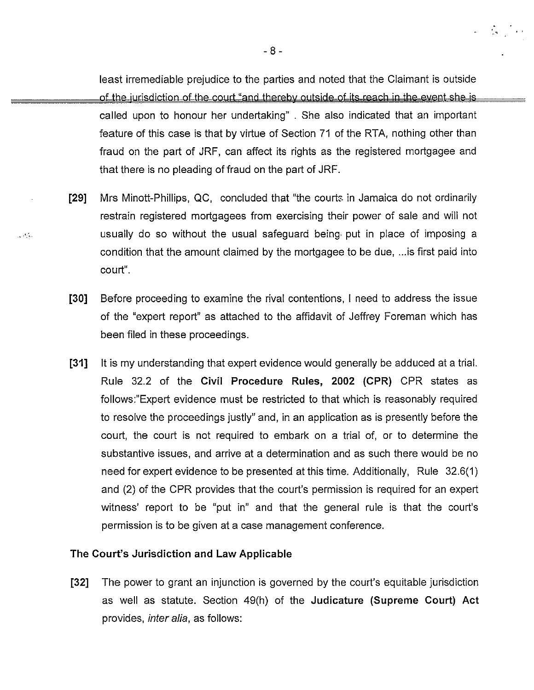least irremediable prejudice to the parties and noted that the Claimant is outside of the jurisdiction of the court "and thereby outside of its reach in the event she is called upon to honour her undertaking". She also indicated that an important feature of this case is that by virtue of Section 71 of the RTA, nothing other than fraud on the part of JRF, can affect its rights as the registered mortgagee and that there is no pleading of fraud on the part of JRF.

 $\mathcal{L}_{\mathrm{eff}}$  , where  $\mathcal{L}_{\mathrm{eff}}$ 

- [29] Mrs Minott-Phillips, QC, concluded that "the courts in Jamaica do not ordinarily restrain registered mortgagees from exercising their power of sale and will not usually do so without the usual safeguard being put in place of imposing a condition that the amount claimed by the mortgagee to be due, ...is first paid into court".
- [30] Before proceeding to examine the rival contentions, <sup>I</sup> need to address the issue of the "expert report" as attached to the affidavit of Jeffrey Foreman which has been filed in these proceedings.
- [31] It is my understanding that expert evidence would generally be adduced at a trial. Rule 32.2 of the Civil Procedure Rules, 2002 (CPR) CPR states as follows:"Expert evidence must be restricted to that which is reasonably required to resolve the proceedings justly" and, in an application as is presently before the court, the court is not required to embark on a trial of, or to determine the substantive issues, and arrive at a determination and as such there would be no need for expert evidence to be presented at this time. Additionally, Rule 32.6(1) and (2) of the CPR provides that the court's permission is required for an expert witness' report to be "put in" and that the general rule is that the court's permission is to be given at a case management conference.

## The Court's Jurisdiction and Law Applicable

 $\mathcal{L}$  ,  $\mathcal{C}$  is

[32] The power to grant an injunction is governed by the court's equitable jurisdiction as well as statute. Section 49(h) of the Judicature (Supreme Court) Act provides, inter alia, as follows: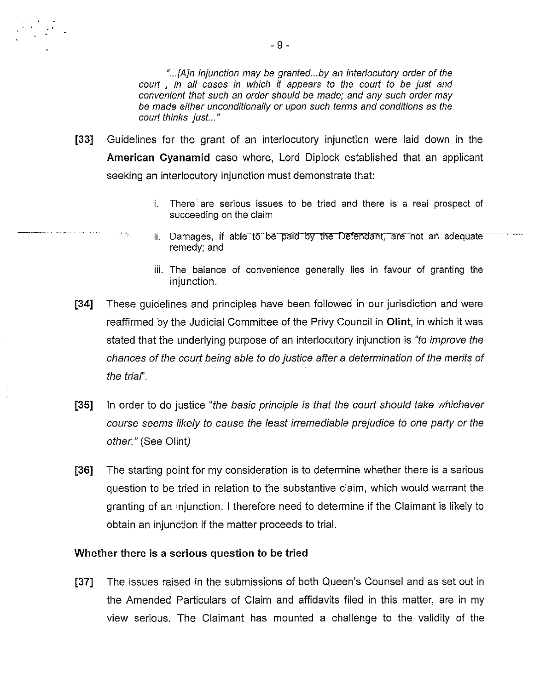"...[A]n injunction may be granted...by an interlocutory order of the court , in all cases in which it appears to the court to be just and convenient that such an order should be made; and any such order may be made either unconditionally or upon such terms and conditions as the court thinks just..."

- [33] Guidelines for the grant of an interlocutory injunction were laid down in the American Cyanamid case where, Lord Diplock established that an applicant seeking an interlocutory injunction must demonstrate that:
	- i. There are serious issues to be tried and there is a reai prospect of succeeding on the claim
	- ii. Damages, if able to be paid by the Defendant, are not an adequate remedy; and
	- iii. The balance of convenience generally lies in favour of granting the injunction.
- [34] These guidelines and principles have been followed in our jurisdiction and were reaffirmed by the Judicial Committee of the Privy Council in Olint, in which it was stated that the underlying purpose of an interlocutory injunction is "to improve the chances of the court being able to do justice after a determination of the merits of the trial'.
- [35] In order to do justice "the basic principle is that the court should take whichever course seems likely to cause the least irremediable prejudice to one party or the other." (See Olint)
- [36] The starting point for my consideration is to determine whether there is a serious question to be tried in relation to the substantive claim, which would warrant the granting of an injunction. <sup>I</sup> therefore need to determine if the Claimant is likely to obtain an injunction if the matter proceeds to trial.

#### Whether there is a serious question to be tried

[37] The issues raised in the submissions of both Queen's Counsel and as set out in the Amended Particulars of Claim and affidavits filed in this matter, are in my view serious. The Claimant has mounted a challenge to the validity of the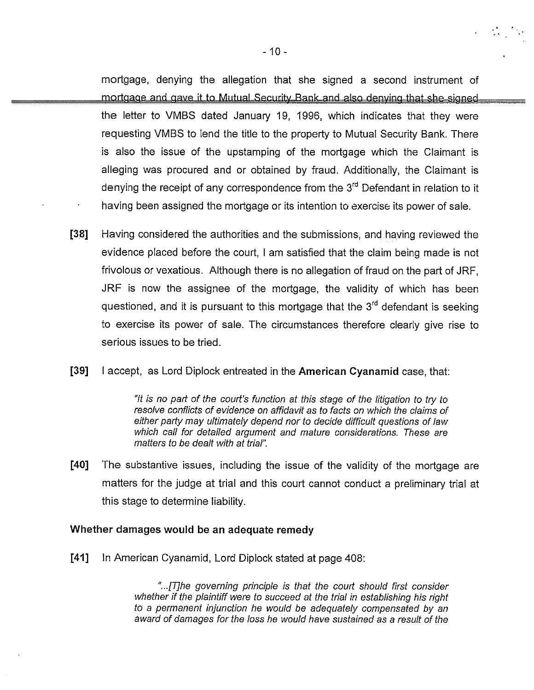mortgage, denying the allegation that she signed a second instrument of the letter to VMBS dated January 19, 1996, which indicates that they were mortgage and gave it to Mutual Security Bank and also denying that she signed - 10 -<br>  $-10$  -<br>
the allegation that she signed a second instrument of<br>
it to Mutual Security Bank and also denying that she signed<br>
dated January 19, 1996, which indicates that they were<br>
lend the title to the property t requesting VMBS to lend the title to the property to Mutual Security Bank. There is also the issue of the upstamping of the mortgage which the Claimant is alleging was procured and or obtained by fraud. Additionally, the Claimant is denying the receipt of any correspondence from the  $3<sup>rd</sup>$  Defendant in relation to it having been assigned the mortgage or its intention to exercise its power of sale.

[38] Having considered the authorities and the submissions, and haying reviewed the evidence placed before the court, <sup>I</sup> am satisfied that the claim being made is not frivolous or vexatious. Although there is no allegation of fraud on the part of JRF, JRF is now the assignee of the mortgage, the validity of which has been questioned, and it is pursuant to this mortgage that the  $3<sup>rd</sup>$  defendant is seeking to exercise its power of sale. The circumstances therefore clearly give rise to serious issues to be tried.

## [39] <sup>I</sup> accept, as Lord Diplock entreated in the American Cyanamid case, that:

"It is no part of the court's function at this stage of the litigation to try to resolve conflicts of evidence on affidavit as to facts on which the claims of either party may ultimately depend nor to decide difficult questions of law which call for detailed argument and mature considerations. These are matters to be dealt with at trial".

[40] The substantive issues, including the issue of the validity of the mortgage are matters for the judge at trial and this court cannot conduct a preliminary trial at this stage to determine liability.

## Whether damages would be an adequate remedy

-~

[41] In American Cyanamid, Lord Diplock stated at page 408:

"...[T]he governing principle is that the court should first consider whether if the plaintiff were to succeed at the trial in establishing his right to a permanent injunction he would be adequately compensated by an award of damages for the loss he would have sustained as a result of the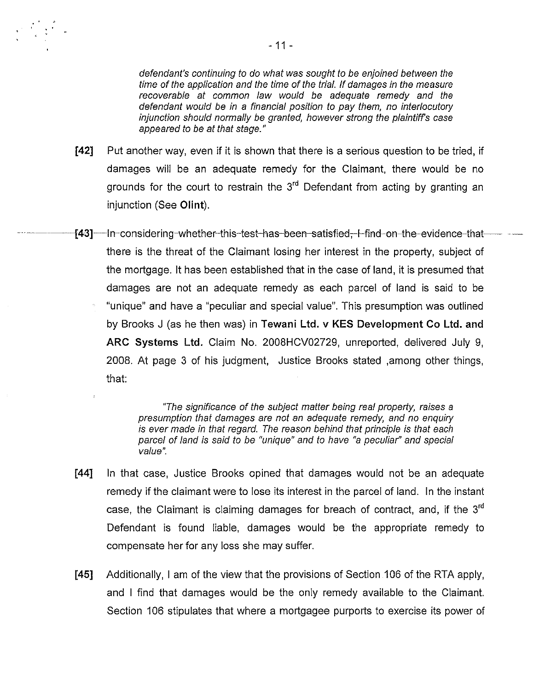defendant's continuing to do what was sought to be enjoined between the time of the application and the time of the trial. If damages in the measure recoverable at common law would be adequate remedy and the defendant would be in a financial position to pay them, no interlocutory injunction should normally be granted, however strong the plaintiffs case appeared to be at that stage."

- [42] Put another way, even if it is shown that there is a serious question to be tried, if damages will be an adequate remedy for the Claimant, there would be no grounds for the court to restrain the  $3<sup>rd</sup>$  Defendant from acting by granting an injunction (See Clint).
- [43]—In-considering-whether-this-test-has-been-satisfied, I-find-on-the-evidence-thatthere is the threat of the Claimant losing her interest in the property, subject of the mortgage. It has been established that in the case of land, it is presumed that damages are not an adequate remedy as each parcel of land is said to be "unique" and have a "peculiar and special value". This presumption was outlined by Brooks <sup>J</sup> (as he then was) in Tewani Ltd. v KES Development Co Ltd. and ARC Systems Ltd. Claim No. 2008HCV02729, unreported, delivered July 9, 2008. At page 3 of his judgment, Justice Brooks stated ,among other things, that:

"The significance of the subject matter being real property, raises <sup>a</sup> presumption that damages are not an adequate remedy, and no enquiry is ever made in that regard. The reason behind that principle is that each parcel of land is said to be "unique" and to have "a peculiar" and special value".

- [44] In that case, Justice Brooks opined that damages would not be an adequate remedy if the claimant were to lose its interest in the parcel of land. In the instant case, the Claimant is claiming damages for breach of contract, and, if the  $3<sup>rd</sup>$ Defendant is found liable, damages would be the appropriate remedy to compensate her for any loss she may suffer.
- [45] Additionally, <sup>I</sup> am of the view that the provisions of Section 106 of the RTA apply, and <sup>I</sup> find that damages would be the only remedy available to the Claimant. Section 106 stipulates that where a mortgagee purports to exercise its power of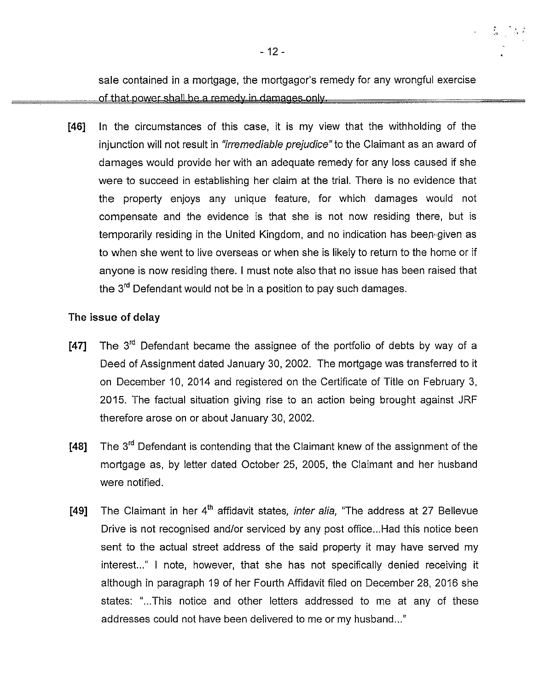sale contained in a mortgage, the mortgagor's remedy for any wrongful exercise

- 12 -<br>sale contained in a mortgage, the mortgagor's remedy for any wrongful exercise<br>of that power shall be a remedy in damages only.<br>In the circumstances of this case, it is my view that the withholding of th<br>injunction [46] In the circumstances of this case, it is my view that the withholding of the injunction will not result in "irremediable prejudice" to the Claimant as an award of damages would provide her with an adequate remedy for any loss caused if she were to succeed in establishing her claim at the trial. There is no evidence that the property enjoys any unique feature, for which damages would not compensate and the evidence is that she is not now residing there, but is temporarily residing in the United Kingdom, and no indication has been given as to when she went to live overseas or when she is likely to return to the home or if anyone is now residing there. <sup>I</sup> must note also that no issue has been raised that the 3<sup>rd</sup> Defendant would not be in a position to pay such damages.

## The issue of delay

- [47] The  $3<sup>rd</sup>$  Defendant became the assignee of the portfolio of debts by way of a Deed of Assignment dated January 30, 2002. The mortgage was transferred to it on December 10, 2014 and registered on the Certificate of Title on February 3, 2015. The factual situation giving rise to an action being brought against JRF therefore arose on or about January 30, 2002.
- [48] The  $3<sup>rd</sup>$  Defendant is contending that the Claimant knew of the assignment of the mortgage as, by letter dated October 25, 2005, the Claimant and her husband were notified.
- [49] The Claimant in her  $4<sup>th</sup>$  affidavit states, *inter alia*, "The address at 27 Bellevue Drive is not recognised and/or serviced by any post office...Had this notice been sent to the actual street address of the said property it may have served my interest..." I note, however, that she has not specifically denied receiving it although in paragraph 19 of her Fourth Affidavit filed on December 28, 2016 she states: "...This notice and other letters addressed to me at any of these addresses could not have been delivered to me or my husband..."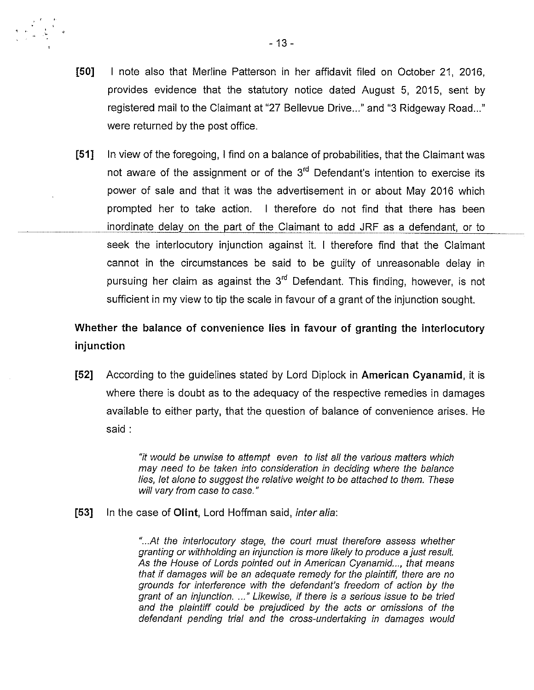- [50] I note also that Merline Patterson in her affidavit filed on October 21, 2016, provides evidence that the statutory notice dated August 5, 2015, sent by registered mail to the Claimant at "27 Bellevue Drive..." and "3 Ridgeway Road..." were returned by the post office.
- [51] In view of the foregoing, <sup>I</sup> find on a balance of probabilities, that the Claimant was not aware of the assignment or of the  $3<sup>rd</sup>$  Defendant's intention to exercise its power of sale and that it was the advertisement in or about May 2016 which prompted her to take action. <sup>I</sup> therefore do not find that there has been inordinate delay on the part of the Claimant to add JRF as a defendant, or to seek the interlocutory injunction against it. <sup>I</sup> therefore find that the Claimant cannot in the circumstances be said to be guilty of unreasonable delay in pursuing her claim as against the  $3<sup>rd</sup>$  Defendant. This finding, however, is not sufficient in my view to tip the scale in favour of a grant of the injunction sought.

Whether the balance of convenience lies in favour of granting the interlocutory injunction

[52] According to the guidelines stated by Lord Diplock in American Cyanamid, it is where there is doubt as to the adequacy of the respective remedies in damages available to either party, that the question of balance of convenience arises. He said:

> "it would be unwise to attempt even to list all the various matters which may need to be taken into consideration in deciding where the balance lies, let alone to suggest the relative weight to be attached to them. These will vary from case to case."

[53] In the case of Olint, Lord Hoffman said, *inter alia*:

"...At the interlocutory stage, the court must therefore assess whether granting or withholding an injunction is more likely to produce a just result As the House of Lords pointed out in American Cyanamid..., that means that if damages will be an adequate remedy for the plaintiff, there are no grounds for interference with the defendant's freedom of action by the grant of an injunction. ..." Likewise, if there is a serious issue to be tried and the plaintiff could be prejudiced by the acts or omissions of the defendant pending trial and the cross-undertaking in damages would